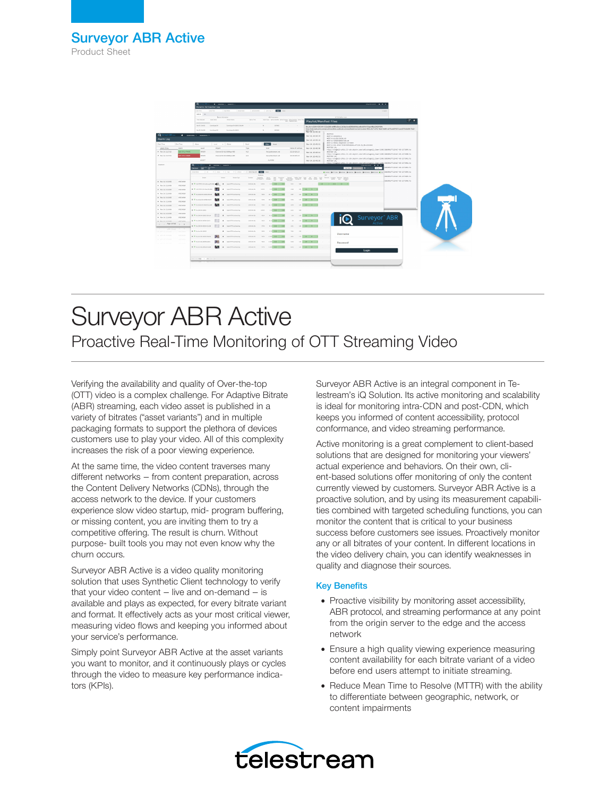

# Surveyor ABR Active Proactive Real-Time Monitoring of OTT Streaming Video

Verifying the availability and quality of Over-the-top (OTT) video is a complex challenge. For Adaptive Bitrate (ABR) streaming, each video asset is published in a variety of bitrates ("asset variants") and in multiple packaging formats to support the plethora of devices customers use to play your video. All of this complexity increases the risk of a poor viewing experience.

At the same time, the video content traverses many different networks – from content preparation, across the Content Delivery Networks (CDNs), through the access network to the device. If your customers experience slow video startup, mid- program buffering, or missing content, you are inviting them to try a competitive offering. The result is churn. Without purpose- built tools you may not even know why the churn occurs.

Surveyor ABR Active is a video quality monitoring solution that uses Synthetic Client technology to verify that your video content  $-$  live and on-demand  $-$  is available and plays as expected, for every bitrate variant and format. It effectively acts as your most critical viewer, measuring video flows and keeping you informed about your service's performance.

Simply point Surveyor ABR Active at the asset variants you want to monitor, and it continuously plays or cycles through the video to measure key performance indicators (KPIs).

Surveyor ABR Active is an integral component in Telestream's iQ Solution. Its active monitoring and scalability is ideal for monitoring intra-CDN and post-CDN, which keeps you informed of content accessibility, protocol conformance, and video streaming performance.

Active monitoring is a great complement to client-based solutions that are designed for monitoring your viewers' actual experience and behaviors. On their own, client-based solutions offer monitoring of only the content currently viewed by customers. Surveyor ABR Active is a proactive solution, and by using its measurement capabilities combined with targeted scheduling functions, you can monitor the content that is critical to your business success before customers see issues. Proactively monitor any or all bitrates of your content. In different locations in the video delivery chain, you can identify weaknesses in quality and diagnose their sources.

# Key Benefits

- Proactive visibility by monitoring asset accessibility, ABR protocol, and streaming performance at any point from the origin server to the edge and the access network
- Ensure a high quality viewing experience measuring content availability for each bitrate variant of a video before end users attempt to initiate streaming.
- Reduce Mean Time to Resolve (MTTR) with the ability to differentiate between geographic, network, or content impairments

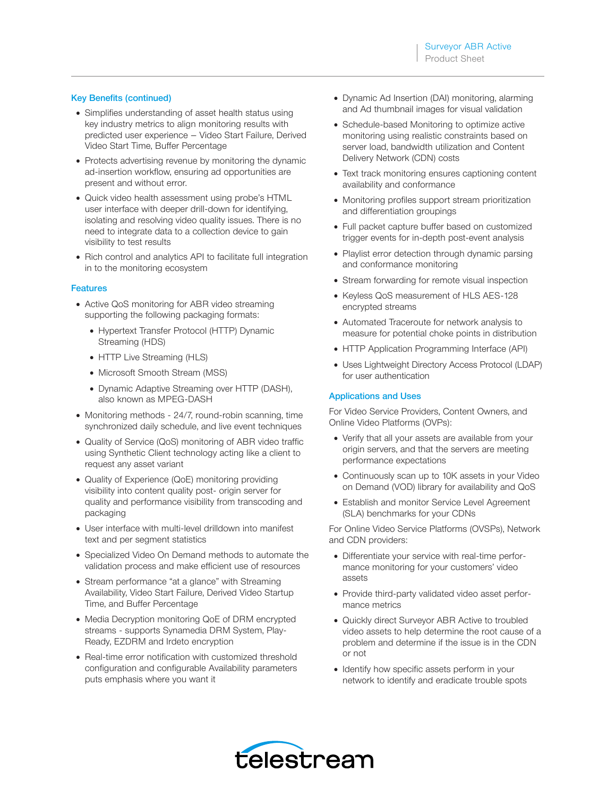## Key Benefits (continued)

- Simplifies understanding of asset health status using key industry metrics to align monitoring results with predicted user experience – Video Start Failure, Derived Video Start Time, Buffer Percentage
- Protects advertising revenue by monitoring the dynamic ad-insertion workflow, ensuring ad opportunities are present and without error.
- Quick video health assessment using probe's HTML user interface with deeper drill-down for identifying, isolating and resolving video quality issues. There is no need to integrate data to a collection device to gain visibility to test results
- Rich control and analytics API to facilitate full integration in to the monitoring ecosystem

#### Features

- Active QoS monitoring for ABR video streaming supporting the following packaging formats:
	- Hypertext Transfer Protocol (HTTP) Dynamic Streaming (HDS)
	- HTTP Live Streaming (HLS)
	- Microsoft Smooth Stream (MSS)
	- Dynamic Adaptive Streaming over HTTP (DASH), also known as MPEG-DASH
- Monitoring methods 24/7, round-robin scanning, time synchronized daily schedule, and live event techniques
- Quality of Service (QoS) monitoring of ABR video traffic using Synthetic Client technology acting like a client to request any asset variant
- Quality of Experience (QoE) monitoring providing visibility into content quality post- origin server for quality and performance visibility from transcoding and packaging
- User interface with multi-level drilldown into manifest text and per segment statistics
- Specialized Video On Demand methods to automate the validation process and make efficient use of resources
- Stream performance "at a glance" with Streaming Availability, Video Start Failure, Derived Video Startup Time, and Buffer Percentage
- Media Decryption monitoring QoE of DRM encrypted streams - supports Synamedia DRM System, Play-Ready, EZDRM and Irdeto encryption
- Real-time error notification with customized threshold configuration and configurable Availability parameters puts emphasis where you want it
- Dynamic Ad Insertion (DAI) monitoring, alarming and Ad thumbnail images for visual validation
- Schedule-based Monitoring to optimize active monitoring using realistic constraints based on server load, bandwidth utilization and Content Delivery Network (CDN) costs
- Text track monitoring ensures captioning content availability and conformance
- Monitoring profiles support stream prioritization and differentiation groupings
- Full packet capture buffer based on customized trigger events for in-depth post-event analysis
- Playlist error detection through dynamic parsing and conformance monitoring
- Stream forwarding for remote visual inspection
- Keyless QoS measurement of HLS AES-128 encrypted streams
- Automated Traceroute for network analysis to measure for potential choke points in distribution
- HTTP Application Programming Interface (API)
- Uses Lightweight Directory Access Protocol (LDAP) for user authentication

# Applications and Uses

For Video Service Providers, Content Owners, and Online Video Platforms (OVPs):

- Verify that all your assets are available from your origin servers, and that the servers are meeting performance expectations
- Continuously scan up to 10K assets in your Video on Demand (VOD) library for availability and QoS
- Establish and monitor Service Level Agreement (SLA) benchmarks for your CDNs

For Online Video Service Platforms (OVSPs), Network and CDN providers:

- Differentiate your service with real-time performance monitoring for your customers' video assets
- Provide third-party validated video asset performance metrics
- Quickly direct Surveyor ABR Active to troubled video assets to help determine the root cause of a problem and determine if the issue is in the CDN or not
- Identify how specific assets perform in your network to identify and eradicate trouble spots